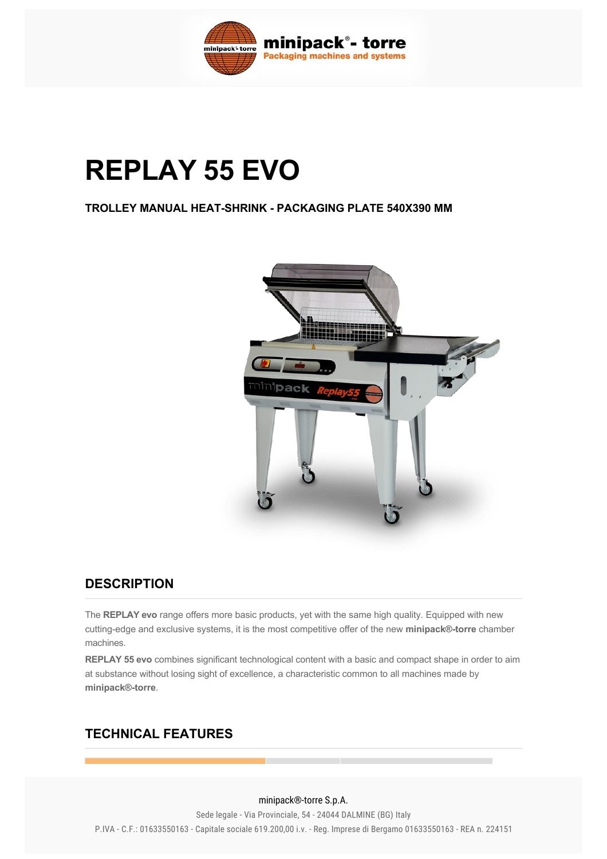

# **REPLAY 55 EVO**

### **TROLLEY MANUAL HEAT-SHRINK - PACKAGING PLATE 540X390 MM**



## **DESCRIPTION**

The **REPLAY evo** range offers more basic products, yet with the same high quality. Equipped with new cutting-edge and exclusive systems, it is the most competitive offer of the new minipack®-torre chamber machines.

**REPLAY 55 evo** combines significant technological content with a basic and compact shape in order to aim at substance without losing sight of excellence, a characteristic common to all machines made by **minipack®torre**.

## **TECHNICAL FEATURES**

#### Phase ph 1 minipack®-torre S.p.A.

Sede legale - Via Provinciale, 54 - 24044 DALMINE (BG) Italy P.IVA - C.F.: 01633550163 - Capitale sociale 619.200,00 i.v. - Reg. Imprese di Bergamo 01633550163 - REA n. 224151<br>-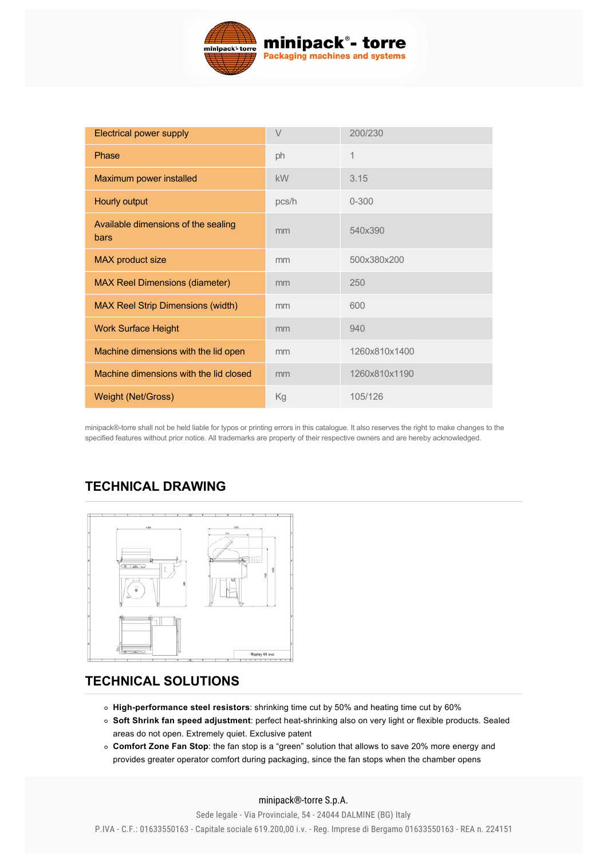

| <b>Electrical power supply</b>              | V     | 200/230       |
|---------------------------------------------|-------|---------------|
| Phase                                       | ph    | 1             |
| Maximum power installed                     | kW    | 3.15          |
| Hourly output                               | pcs/h | $0 - 300$     |
| Available dimensions of the sealing<br>bars | mm    | 540x390       |
| <b>MAX</b> product size                     | mm    | 500x380x200   |
| <b>MAX Reel Dimensions (diameter)</b>       | mm    | 250           |
| <b>MAX Reel Strip Dimensions (width)</b>    | mm    | 600           |
| <b>Work Surface Height</b>                  | mm    | 940           |
| Machine dimensions with the lid open        | mm    | 1260x810x1400 |
| Machine dimensions with the lid closed      | mm    | 1260x810x1190 |
| Weight (Net/Gross)                          | Кg    | 105/126       |

minipack®torre shall not be held liable for typos or printing errors in this catalogue. It also reserves the right to make changes to the specified features without prior notice. All trademarks are property of their respective owners and are hereby acknowledged.

# **TECHNICAL DRAWING**



# **[TECHNICAL SOLUTIONS](#page-1-0)**

- <span id="page-1-0"></span>**High-performance steel resistors**: shrinking time cut by 50% and heating time cut by 60%
- **Soft Shrink fan speed adjustment**: perfect heatshrinking also on very light or flexible products. Sealed areas do not open. Extremely quiet. Exclusive patent
- **Comfort Zone Fan Stop**: the fan stop is a "green" solution that allows to save 20% more energy and provides greater operator comfort during packaging, since the fan stops when the chamber opens

minipack®-torre S.p.A.